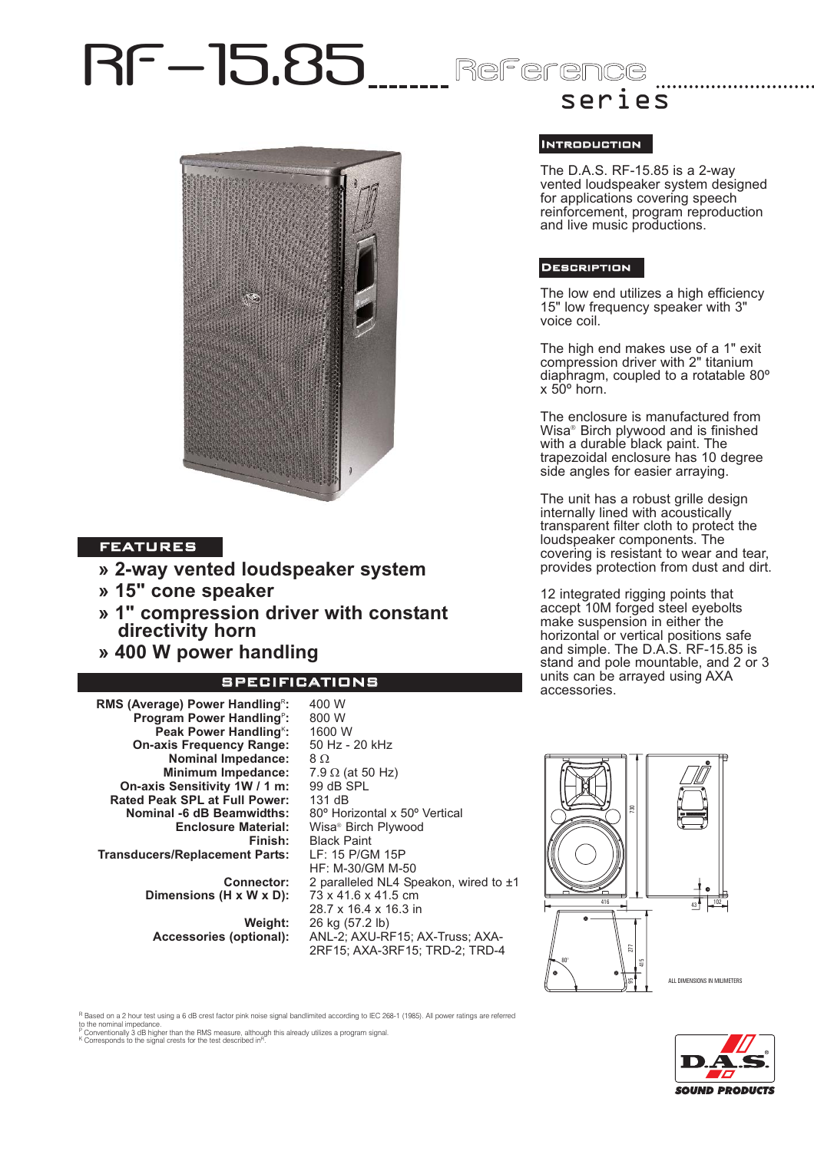# RF-15.85 Reference



# FEATURES

- **» 2-way vented loudspeaker system**
- **» 15" cone speaker**
- **» 1" compression driver with constant directivity horn**
- **» 400 W power handling**

# SPECIFICATIONS

400 W

**RMS (Average) Power Handling<sup>R</sup>: Program Power Handling<sup>P</sup>:** Peak Power Handling<sup>k</sup>: **On-axis Frequency Range: Nominal Impedance: Minimum Impedance: On-axis Sensitivity 1W / 1 m: Rated Peak SPL at Full Power: Nominal -6 dB Beamwidths: Enclosure Material: Finish: Transducers/Replacement Parts:**

> **Connector: Dimensions (H x W x D):**

**Weight: Accessories (optional):**

800 W 1600 W 50 Hz - 20 kHz 8 Ω 7.9 Ω (at 50 Hz) 99 dB SPL 131 dB 80º Horizontal x 50º Vertical Wisa® Birch Plywood Black Paint LF: 15 P/GM 15P HF: M-30/GM M-50 2 paralleled NL4 Speakon, wired to ±1 73 x 41.6 x 41.5 cm 28.7 x 16.4 x 16.3 in 26 kg (57.2 lb) ANL-2; AXU-RF15; AX-Truss; AXA-2RF15; AXA-3RF15; TRD-2; TRD-4

# series

### Introduction

The D.A.S. RF-15.85 is a 2-way vented loudspeaker system designed for applications covering speech reinforcement, program reproduction and live music productions.

## Description

The low end utilizes a high efficiency 15" low frequency speaker with 3" voice coil.

The high end makes use of a 1" exit compression driver with 2" titanium diaphragm, coupled to a rotatable 80º  $x$  50 $^{\circ}$  horn.

The enclosure is manufactured from Wisa® Birch plywood and is finished with a durable black paint. The trapezoidal enclosure has 10 degree side angles for easier arraying.

The unit has a robust grille design internally lined with acoustically transparent filter cloth to protect the loudspeaker components. The covering is resistant to wear and tear, provides protection from dust and dirt.

12 integrated rigging points that accept 10M forged steel eyebolts make suspension in either the horizontal or vertical positions safe and simple. The D.A.S. RF-15.85 is stand and pole mountable, and 2 or 3 units can be arrayed using AXA accessories.





R Based on a 2 hour test using a 6 dB crest factor pink noise signal bandlimited according to IEC 268-1 (1985). All power ratings are referred

to the nominal impedance.<br><sup>P</sup> Conventionally 3 dB higher than the RMS measure, although this already utilizes a program signal.<br><sup>K</sup> Corresponds to the signal crests for the test described in<sup>p</sup>.